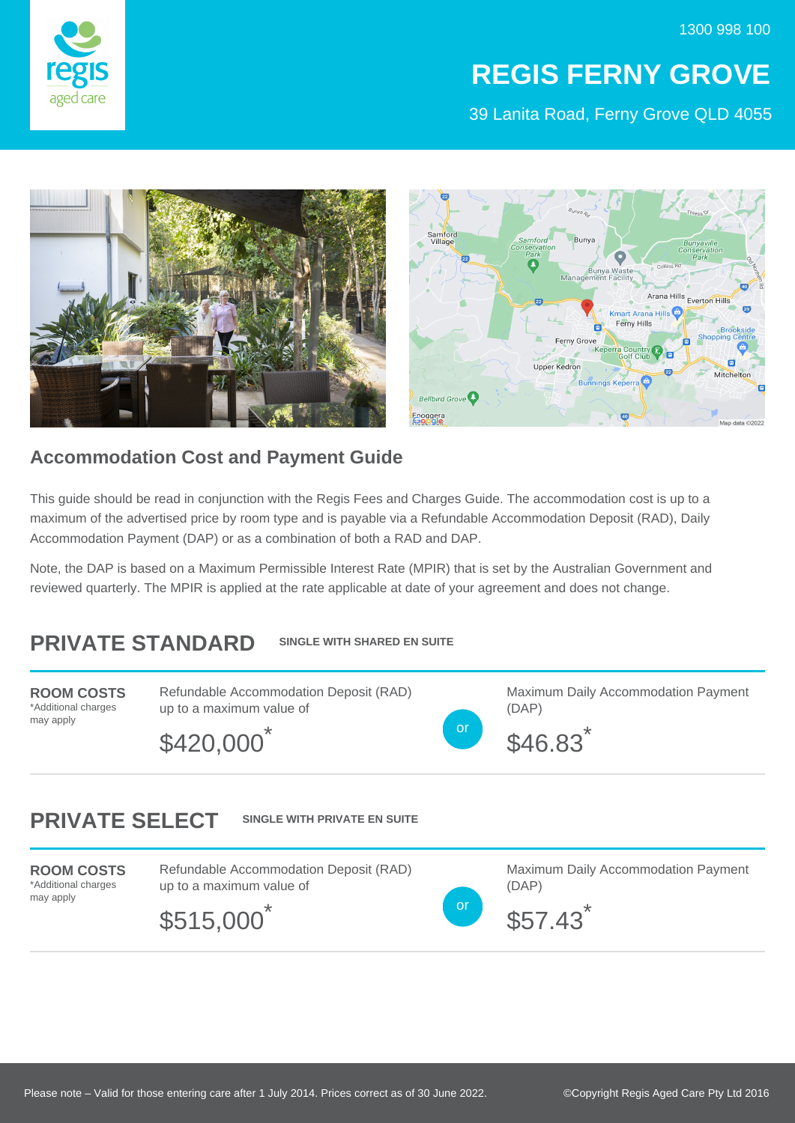

## **REGIS FERNY GROVE**

39 Lanita Road, Ferny Grove QLD 4055



## **Accommodation Cost and Payment Guide**

This guide should be read in conjunction with the Regis Fees and Charges Guide. The accommodation cost is up to a maximum of the advertised price by room type and is payable via a Refundable Accommodation Deposit (RAD), Daily Accommodation Payment (DAP) or as a combination of both a RAD and DAP.

Note, the DAP is based on a Maximum Permissible Interest Rate (MPIR) that is set by the Australian Government and reviewed quarterly. The MPIR is applied at the rate applicable at date of your agreement and does not change.

## **PRIVATE STANDARD SINGLE WITH SHARED EN SUITE**